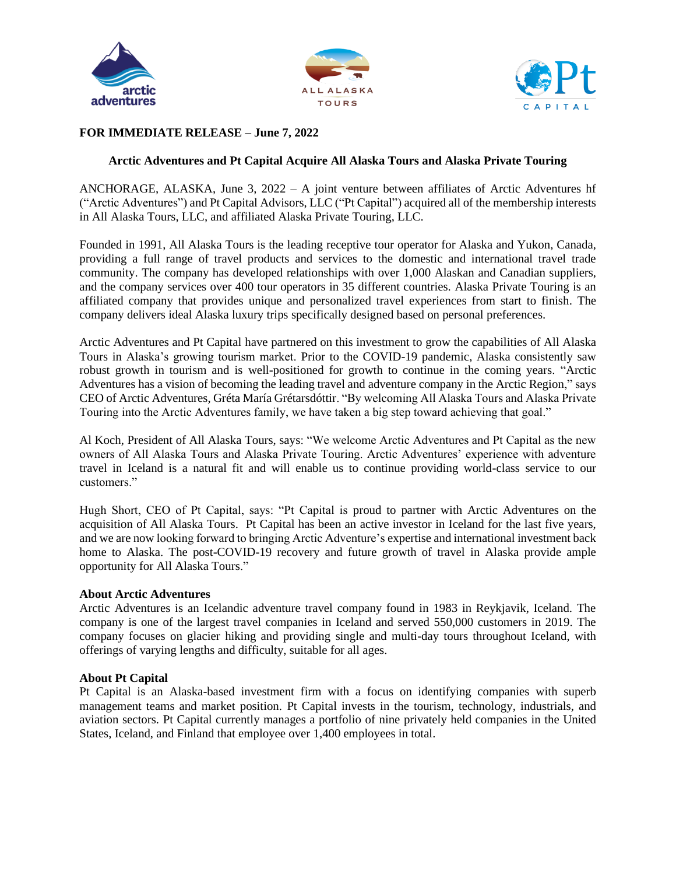





# **FOR IMMEDIATE RELEASE – June 7, 2022**

## **Arctic Adventures and Pt Capital Acquire All Alaska Tours and Alaska Private Touring**

ANCHORAGE, ALASKA, June 3, 2022 – A joint venture between affiliates of Arctic Adventures hf ("Arctic Adventures") and Pt Capital Advisors, LLC ("Pt Capital") acquired all of the membership interests in All Alaska Tours, LLC, and affiliated Alaska Private Touring, LLC.

Founded in 1991, All Alaska Tours is the leading receptive tour operator for Alaska and Yukon, Canada, providing a full range of travel products and services to the domestic and international travel trade community. The company has developed relationships with over 1,000 Alaskan and Canadian suppliers, and the company services over 400 tour operators in 35 different countries. Alaska Private Touring is an affiliated company that provides unique and personalized travel experiences from start to finish. The company delivers ideal Alaska luxury trips specifically designed based on personal preferences.

Arctic Adventures and Pt Capital have partnered on this investment to grow the capabilities of All Alaska Tours in Alaska's growing tourism market. Prior to the COVID-19 pandemic, Alaska consistently saw robust growth in tourism and is well-positioned for growth to continue in the coming years. "Arctic Adventures has a vision of becoming the leading travel and adventure company in the Arctic Region," says CEO of Arctic Adventures, Gréta María Grétarsdóttir. "By welcoming All Alaska Tours and Alaska Private Touring into the Arctic Adventures family, we have taken a big step toward achieving that goal."

Al Koch, President of All Alaska Tours, says: "We welcome Arctic Adventures and Pt Capital as the new owners of All Alaska Tours and Alaska Private Touring. Arctic Adventures' experience with adventure travel in Iceland is a natural fit and will enable us to continue providing world-class service to our customers."

Hugh Short, CEO of Pt Capital, says: "Pt Capital is proud to partner with Arctic Adventures on the acquisition of All Alaska Tours. Pt Capital has been an active investor in Iceland for the last five years, and we are now looking forward to bringing Arctic Adventure's expertise and international investment back home to Alaska. The post-COVID-19 recovery and future growth of travel in Alaska provide ample opportunity for All Alaska Tours."

### **About Arctic Adventures**

Arctic Adventures is an Icelandic adventure travel company found in 1983 in Reykjavik, Iceland. The company is one of the largest travel companies in Iceland and served 550,000 customers in 2019. The company focuses on glacier hiking and providing single and multi-day tours throughout Iceland, with offerings of varying lengths and difficulty, suitable for all ages.

### **About Pt Capital**

Pt Capital is an Alaska-based investment firm with a focus on identifying companies with superb management teams and market position. Pt Capital invests in the tourism, technology, industrials, and aviation sectors. Pt Capital currently manages a portfolio of nine privately held companies in the United States, Iceland, and Finland that employee over 1,400 employees in total.